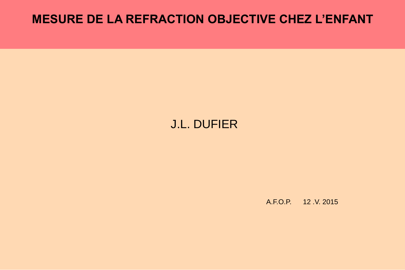## **MESURE DE LA REFRACTION OBJECTIVE CHEZ L'ENFANT**

## J.L. DUFIER

A.F.O.P. 12 .V. 2015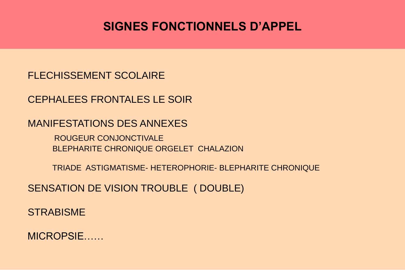# **SIGNES FONCTIONNELS D'APPEL**

#### FLECHISSEMENT SCOLAIRE

CEPHALEES FRONTALES LE SOIR

MANIFESTATIONS DES ANNEXES

ROUGEUR CONJONCTIVALE BLEPHARITE CHRONIQUE ORGELET CHALAZION

TRIADE ASTIGMATISME- HETEROPHORIE- BLEPHARITE CHRONIQUE

SENSATION DE VISION TROUBLE ( DOUBLE)

**STRABISME** 

MICROPSIE……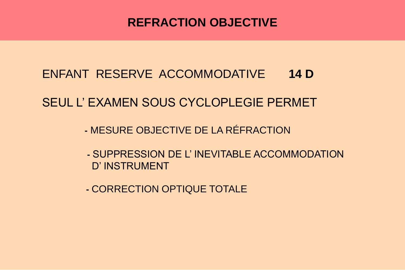# **REFRACTION OBJECTIVE**

# ENFANT RESERVE ACCOMMODATIVE **14 D**

## SEUL L' EXAMEN SOUS CYCLOPLEGIE PERMET

- **-** MESURE OBJECTIVE DE LA RÉFRACTION
- **-** SUPPRESSION DE L' INEVITABLE ACCOMMODATION D' INSTRUMENT
- **-** CORRECTION OPTIQUE TOTALE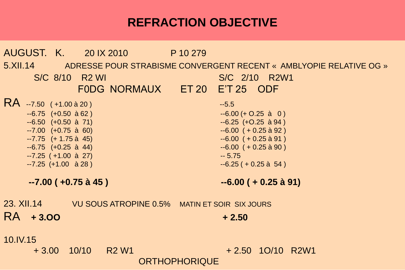# **REFRACTION OBJECTIVE**

AUGUST. K. 20 IX 2010 P 10 279 5.XII.14 ADRESSE POUR STRABISME CONVERGENT RECENT « AMBLYOPIE RELATIVE OG » S/C 8/10 R2 WI S/C 2/10 R2W1 F0DG NORMAUX ET 20 E'T 25 ODF RA --7.50 ( +1.00 à 20 ) --5.5  $-6.75$  (+0.50 à 62 )  $-6.75$  (+0.25 à 0 ) --6.50 (+0.50 à 71) --6.25 (+O.25 à 94 ) --7.00 (+0.75 à 60) --6.00 ( + 0.25 à 92 ) --7.75 (+ 1.75 à 45) --6.00 ( + 0.25 à 91 ) --6.75 (+0.25 à 44) --6.00 ( + 0.25 à 90 ) --7.25 ( +1.00 à 27) -- 5.75  $-7.25$  (+1.00 à 28 )  $-6.25$  ( + 0.25 à 54 ) **--7.00 ( +0.75 à 45 ) --6.00 ( + 0.25 à 91)** 23. XII.14 VU SOUS ATROPINE 0.5% MATIN ET SOIR SIX JOURS RA + 3.00 + 2.50 10.IV.15 + 3.00 10/10 R2 W1 + 2.50 1O/10 R2W1 **ORTHOPHORIQUE**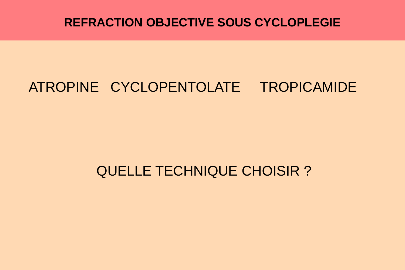# **REFRACTION OBJECTIVE SOUS CYCLOPLEGIE**

# ATROPINE CYCLOPENTOLATE TROPICAMIDE

# QUELLE TECHNIQUE CHOISIR ?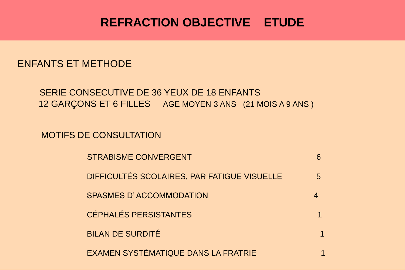# **REFRACTION OBJECTIVE ETUDE**

#### ENFANTS ET METHODE

#### SERIE CONSECUTIVE DE 36 YEUX DE 18 ENFANTS 12 GARÇONS ET 6 FILLES AGE MOYEN 3 ANS (21 MOIS A 9 ANS)

MOTIFS DE CONSULTATION

| <b>STRABISME CONVERGENT</b>                 |   |
|---------------------------------------------|---|
| DIFFICULTÉS SCOLAIRES, PAR FATIGUE VISUELLE | 5 |
| SPASMES D'ACCOMMODATION                     |   |
| <b>CÉPHALÉS PERSISTANTES</b>                |   |
| <b>BILAN DE SURDITÉ</b>                     |   |
| <b>EXAMEN SYSTÉMATIQUE DANS LA FRATRIE</b>  |   |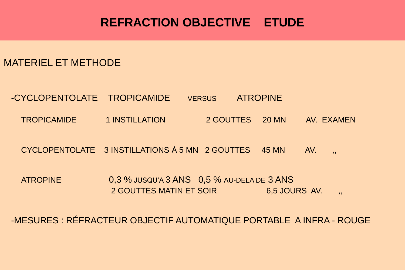# **REFRACTION OBJECTIVE ETUDE**

MATERIEL ET METHODE

-CYCLOPENTOLATE TROPICAMIDE VERSUS ATROPINE TROPICAMIDE 1 INSTILLATION 2 GOUTTES 20 MN AV. EXAMEN

 $CYCLOPENTOLATE$  3 INSTILLATIONS  $\hat{A}$  5 MN  $\degree$  2 GOUTTES  $\degree$  45 MN  $\degree$  AV.

ATROPINE 0,3 % JUSQU'A 3 ANS 0,5 % AU-DELA DE 3 ANS 2 GOUTTES MATIN ET SOIR 6,5 JOURS AV.

-MESURES : RÉFRACTEUR OBJECTIF AUTOMATIQUE PORTABLE A INFRA - ROUGE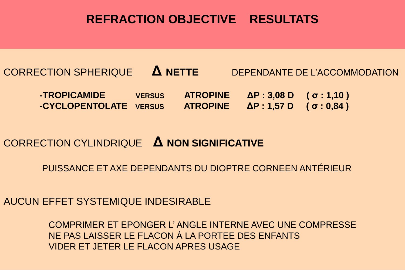## **REFRACTION OBJECTIVE RESULTATS**

# CORRECTION SPHERIQUE **Δ NETTE** DEPENDANTE DE L'ACCOMMODATION **-TROPICAMIDE VERSUS ATROPINE ΔP : 3,08 D ( σ : 1,10 ) -CYCLOPENTOLATE VERSUS ATROPINE ΔP : 1,57 D ( σ : 0,84 )**

### CORRECTION CYLINDRIQUE **Δ NON SIGNIFICATIVE**

#### PUISSANCE ET AXE DEPENDANTS DU DIOPTRE CORNEEN ANTÉRIEUR

#### AUCUN EFFET SYSTEMIQUE INDESIRABLE

COMPRIMER ET EPONGER L' ANGLE INTERNE AVEC UNE COMPRESSE NE PAS LAISSER LE FLACON À LA PORTEE DES ENFANTS VIDER ET JETER LE FLACON APRES USAGE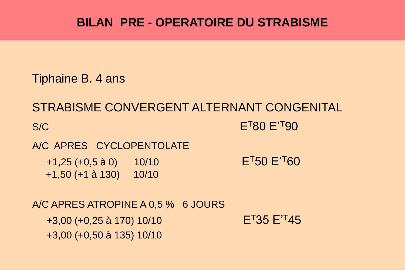# **BILAN PRE - OPERATOIRE DU STRABISME**

Tiphaine B. 4 ans

STRABISME CONVERGENT ALTERNANT CONGENITAL S/C E<sup>T</sup>80 E<sup>T</sup>90 A/C APRES CYCLOPENTOLATE  $+1,25$  (+0,5 à 0)  $10/10$  E<sup>T</sup>50 E<sup>T</sup>60 +1,50 (+1 à 130) 10/10 A/C APRES ATROPINE A 0,5 % 6 JOURS  $+3,00$  (+0,25 à 170) 10/10 E<sup>T</sup>35 E<sup>'T</sup>45

+3,00 (+0,50 à 135) 10/10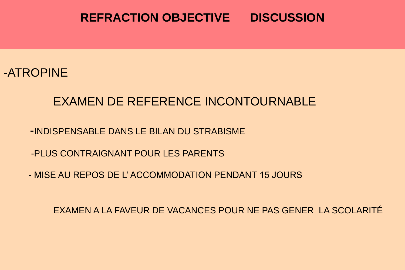### **REFRACTION OBJECTIVE DISCUSSION**

### -ATROPINE

# EXAMEN DE REFERENCE INCONTOURNABLE

- -INDISPENSABLE DANS LE BILAN DU STRABISME
- -PLUS CONTRAIGNANT POUR LES PARENTS
- MISE AU REPOS DE L' ACCOMMODATION PENDANT 15 JOURS

EXAMEN A LA FAVEUR DE VACANCES POUR NE PAS GENER LA SCOLARITÉ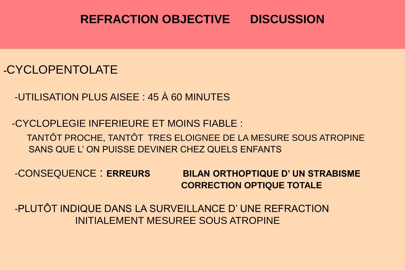## **REFRACTION OBJECTIVE DISCUSSION**

#### **-**CYCLOPENTOLATE

-UTILISATION PLUS AISEE : 45 À 60 MINUTES

-CYCLOPLEGIE INFERIEURE ET MOINS FIABLE : TANTÔT PROCHE, TANTÔT TRES ELOIGNEE DE LA MESURE SOUS ATROPINE SANS QUE L' ON PUISSE DEVINER CHEZ QUELS ENFANTS

-CONSEQUENCE : **ERREURS BILAN ORTHOPTIQUE D' UN STRABISME CORRECTION OPTIQUE TOTALE**

-PLUTÔT INDIQUE DANS LA SURVEILLANCE D' UNE REFRACTION INITIALEMENT MESUREE SOUS ATROPINE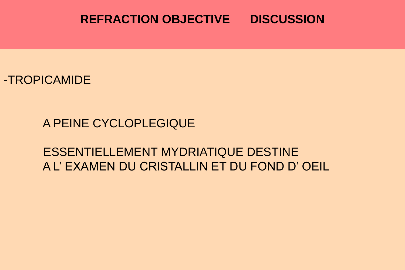### **REFRACTION OBJECTIVE DISCUSSION**

-TROPICAMIDE

A PEINE CYCLOPLEGIQUE

ESSENTIELLEMENT MYDRIATIQUE DESTINE A L' EXAMEN DU CRISTALLIN ET DU FOND D' OEIL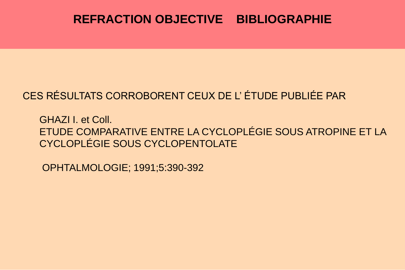# **REFRACTION OBJECTIVE BIBLIOGRAPHIE**

### CES RÉSULTATS CORROBORENT CEUX DE L' ÉTUDE PUBLIÉE PAR

GHAZI I. et Coll. ETUDE COMPARATIVE ENTRE LA CYCLOPLÉGIE SOUS ATROPINE ET LA CYCLOPLÉGIE SOUS CYCLOPENTOLATE

OPHTALMOLOGIE; 1991;5:390-392